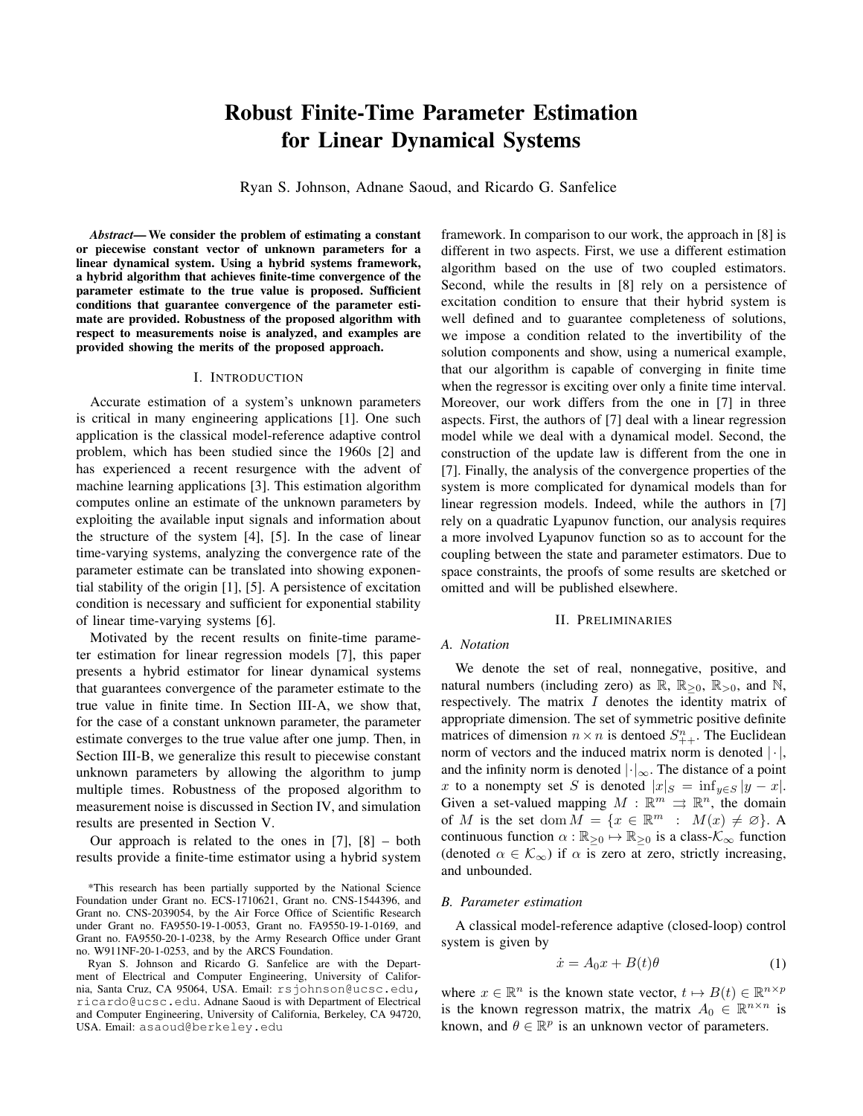# **Robust Finite-Time Parameter Estimation** for Linear Dynamical Systems

Ryan S. Johnson, Adnane Saoud, and Ricardo G. Sanfelice

*Abstract*—We consider the problem of estimating a constant or piecewise constant vector of unknown parameters for a linear dynamical system. Using a hybrid systems framework, a hybrid algorithm that achieves finite-time convergence of the parameter estimate to the true value is proposed. Sufficient conditions that guarantee convergence of the parameter estimate are provided. Robustness of the proposed algorithm with respect to measurements noise is analyzed, and examples are provided showing the merits of the proposed approach.

## I. INTRODUCTION

Accurate estimation of a system's unknown parameters is critical in many engineering applications [1]. One such application is the classical model-reference adaptive control problem, which has been studied since the 1960s [2] and has experienced a recent resurgence with the advent of machine learning applications [3]. This estimation algorithm computes online an estimate of the unknown parameters by exploiting the available input signals and information about the structure of the system  $[4]$ ,  $[5]$ . In the case of linear time-varying systems, analyzing the convergence rate of the parameter estimate can be translated into showing exponential stability of the origin  $[1]$ ,  $[5]$ . A persistence of excitation condition is necessary and sufficient for exponential stability of linear time-varying systems [6].

Motivated by the recent results on finite-time parameter estimation for linear regression models [7], this paper presents a hybrid estimator for linear dynamical systems that guarantees convergence of the parameter estimate to the true value in finite time. In Section III-A, we show that, for the case of a constant unknown parameter, the parameter estimate converges to the true value after one jump. Then, in Section III-B, we generalize this result to piecewise constant unknown parameters by allowing the algorithm to jump multiple times. Robustness of the proposed algorithm to measurement noise is discussed in Section IV, and simulation results are presented in Section V.

Our approach is related to the ones in  $[7]$ ,  $[8]$  – both results provide a finite-time estimator using a hybrid system

\*This research has been partially supported by the National Science Foundation under Grant no. ECS-1710621, Grant no. CNS-1544396, and Grant no. CNS-2039054, by the Air Force Office of Scientific Research under Grant no. FA9550-19-1-0053, Grant no. FA9550-19-1-0169, and Grant no. FA9550-20-1-0238, by the Army Research Office under Grant no. W911NF-20-1-0253, and by the ARCS Foundation.

Ryan S. Johnson and Ricardo G. Sanfelice are with the Department of Electrical and Computer Engineering, University of California, Santa Cruz, CA 95064, USA. Email: rsjohnson@ucsc.edu, ricardo@ucsc.edu. Adnane Saoud is with Department of Electrical and Computer Engineering, University of California, Berkeley, CA 94720, USA. Email: asaoud@berkeley.edu

framework. In comparison to our work, the approach in [8] is different in two aspects. First, we use a different estimation algorithm based on the use of two coupled estimators. Second, while the results in [8] rely on a persistence of excitation condition to ensure that their hybrid system is well defined and to guarantee completeness of solutions, we impose a condition related to the invertibility of the solution components and show, using a numerical example, that our algorithm is capable of converging in finite time when the regressor is exciting over only a finite time interval. Moreover, our work differs from the one in [7] in three aspects. First, the authors of [7] deal with a linear regression model while we deal with a dynamical model. Second, the construction of the update law is different from the one in [7]. Finally, the analysis of the convergence properties of the system is more complicated for dynamical models than for linear regression models. Indeed, while the authors in [7] rely on a quadratic Lyapunov function, our analysis requires a more involved Lyapunov function so as to account for the coupling between the state and parameter estimators. Due to space constraints, the proofs of some results are sketched or omitted and will be published elsewhere.

#### **II. PRELIMINARIES**

## A. Notation

We denote the set of real, nonnegative, positive, and natural numbers (including zero) as  $\mathbb{R}$ ,  $\mathbb{R}_{>0}$ ,  $\mathbb{R}_{>0}$ , and  $\mathbb{N}$ , respectively. The matrix  $I$  denotes the identity matrix of appropriate dimension. The set of symmetric positive definite matrices of dimension  $n \times n$  is dentoed  $S_{++}^n$ . The Euclidean norm of vectors and the induced matrix norm is denoted  $|\cdot|$ , and the infinity norm is denoted  $|\cdot|_{\infty}$ . The distance of a point x to a nonempty set S is denoted  $|x|_S = inf_{y \in S} |y - x|$ . Given a set-valued mapping  $M : \mathbb{R}^m \rightrightarrows \mathbb{R}^n$ , the domain of M is the set dom  $M = \{x \in \mathbb{R}^m : M(x) \neq \emptyset\}$ . A continuous function  $\alpha : \mathbb{R}_{\geq 0} \mapsto \mathbb{R}_{\geq 0}$  is a class- $\mathcal{K}_{\infty}$  function (denoted  $\alpha \in \mathcal{K}_{\infty}$ ) if  $\alpha$  is zero at zero, strictly increasing, and unbounded.

## **B.** Parameter estimation

A classical model-reference adaptive (closed-loop) control system is given by

$$
\dot{x} = A_0 x + B(t)\theta \tag{1}
$$

where  $x \in \mathbb{R}^n$  is the known state vector,  $t \mapsto B(t) \in \mathbb{R}^{n \times p}$ is the known regresson matrix, the matrix  $A_0 \in \mathbb{R}^{n \times n}$  is known, and  $\theta \in \mathbb{R}^p$  is an unknown vector of parameters.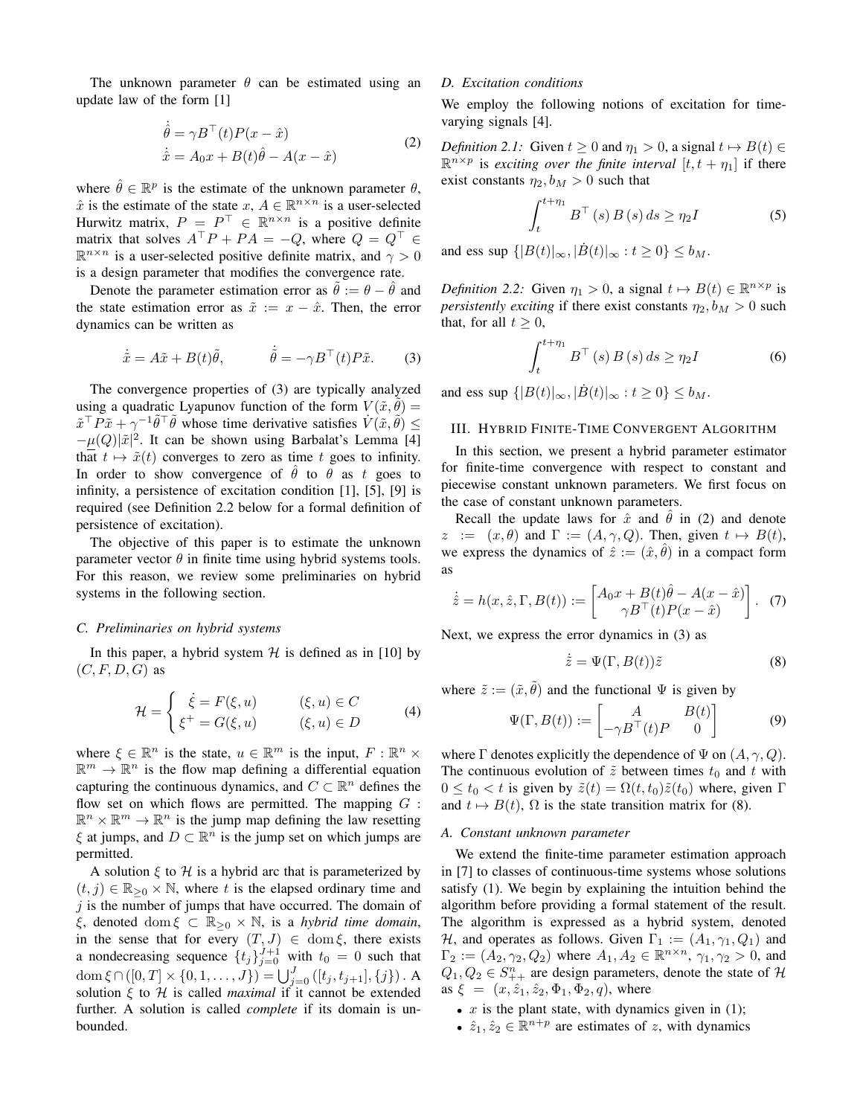The unknown parameter  $\theta$  can be estimated using an update law of the form [1]

$$
\hat{\theta} = \gamma B^{\top}(t)P(x - \hat{x})
$$
  
\n
$$
\dot{\hat{x}} = A_0 x + B(t)\hat{\theta} - A(x - \hat{x})
$$
\n(2)

where  $\hat{\theta} \in \mathbb{R}^p$  is the estimate of the unknown parameter  $\theta$ .  $\hat{x}$  is the estimate of the state  $x, A \in \mathbb{R}^{n \times n}$  is a user-selected Hurwitz matrix,  $P = P^{\top} \in \mathbb{R}^{n \times n}$  is a positive definite matrix that solves  $A^{\top}P + PA = -Q$ , where  $Q = Q^{\top} \in$  $\mathbb{R}^{n \times n}$  is a user-selected positive definite matrix, and  $\gamma > 0$ is a design parameter that modifies the convergence rate.

Denote the parameter estimation error as  $\hat{\theta} := \theta - \hat{\theta}$  and the state estimation error as  $\tilde{x} := x - \hat{x}$ . Then, the error dynamics can be written as

$$
\dot{\tilde{x}} = A\tilde{x} + B(t)\tilde{\theta}, \qquad \dot{\tilde{\theta}} = -\gamma B^{\top}(t)P\tilde{x}.
$$
 (3)

The convergence properties of (3) are typically analyzed using a quadratic Lyapunov function of the form  $V(\tilde{x}, \theta) =$  $\tilde{x}^{\top} P \tilde{x} + \gamma^{-1} \tilde{\theta}^{\top} \tilde{\theta}$  whose time derivative satisfies  $V(\tilde{x}, \tilde{\theta})$  <  $-\mu(Q)|\tilde{x}|^2$ . It can be shown using Barbalat's Lemma [4] that  $t \mapsto \tilde{x}(t)$  converges to zero as time t goes to infinity. In order to show convergence of  $\hat{\theta}$  to  $\theta$  as t goes to infinity, a persistence of excitation condition [1], [5], [9] is required (see Definition 2.2 below for a formal definition of persistence of excitation).

The objective of this paper is to estimate the unknown parameter vector  $\theta$  in finite time using hybrid systems tools. For this reason, we review some preliminaries on hybrid systems in the following section.

# C. Preliminaries on hybrid systems

In this paper, a hybrid system  $H$  is defined as in [10] by  $(C, F, D, G)$  as

$$
\mathcal{H} = \begin{cases} \dot{\xi} = F(\xi, u) & (\xi, u) \in C \\ \xi^+ = G(\xi, u) & (\xi, u) \in D \end{cases}
$$
(4)

where  $\xi \in \mathbb{R}^n$  is the state,  $u \in \mathbb{R}^m$  is the input,  $F : \mathbb{R}^n \times$  $\mathbb{R}^m \to \mathbb{R}^n$  is the flow map defining a differential equation capturing the continuous dynamics, and  $C \subset \mathbb{R}^n$  defines the flow set on which flows are permitted. The mapping  $G$ :  $\mathbb{R}^n \times \mathbb{R}^m \to \mathbb{R}^n$  is the jump map defining the law resetting  $\xi$  at jumps, and  $D \subset \mathbb{R}^n$  is the jump set on which jumps are permitted.

A solution  $\xi$  to  $H$  is a hybrid arc that is parameterized by  $(t, j) \in \mathbb{R}_{\geq 0} \times \mathbb{N}$ , where t is the elapsed ordinary time and  $j$  is the number of jumps that have occurred. The domain of  $\xi$ , denoted dom  $\xi \subset \mathbb{R}_{\geq 0} \times \mathbb{N}$ , is a hybrid time domain, in the sense that for every  $(T, J) \in \text{dom } \xi$ , there exists<br>a nondecreasing sequence  $\{t_j\}_{j=0}^{J+1}$  with  $t_0 = 0$  such that dom  $\xi \cap ([0, T] \times \{0, 1, ..., J\}) = \bigcup_{j=0}^{J} ([t_j, t_{j+1}], \{j\})$ . A solution  $\xi$  to  $H$  is called *maximal* if it cannot be extended further. A solution is called *complete* if its domain is unbounded.

## D. Excitation conditions

We employ the following notions of excitation for timevarying signals [4].

*Definition 2.1:* Given  $t \ge 0$  and  $\eta_1 > 0$ , a signal  $t \mapsto B(t) \in$  $\mathbb{R}^{n \times p}$  is exciting over the finite interval  $[t, t + \eta_1]$  if there exist constants  $\eta_2, b_M > 0$  such that

$$
\int_{t}^{t+\eta_{1}} B^{\top}(s) B(s) ds \ge \eta_{2} I
$$
 (5)

and ess sup  $\{|B(t)|_{\infty}, |\dot{B}(t)|_{\infty}: t \geq 0\} \leq b_M$ .

*Definition 2.2:* Given  $\eta_1 > 0$ , a signal  $t \mapsto B(t) \in \mathbb{R}^{n \times p}$  is *persistently exciting* if there exist constants  $\eta_2, b_M > 0$  such that, for all  $t > 0$ ,

$$
\int_{t}^{t+\eta_{1}} B^{\top}(s) B(s) ds \ge \eta_{2} I
$$
 (6)

and ess sup  $\{|B(t)|_{\infty}, |\dot{B}(t)|_{\infty}: t \geq 0\} \leq b_M$ .

# III. HYBRID FINITE-TIME CONVERGENT ALGORITHM

In this section, we present a hybrid parameter estimator for finite-time convergence with respect to constant and piecewise constant unknown parameters. We first focus on the case of constant unknown parameters.

Recall the update laws for  $\hat{x}$  and  $\hat{\theta}$  in (2) and denote  $z := (x, \theta)$  and  $\Gamma := (A, \gamma, Q)$ . Then, given  $t \mapsto B(t)$ , we express the dynamics of  $\hat{z} := (\hat{x}, \hat{\theta})$  in a compact form as

$$
\dot{\hat{z}} = h(x, \hat{z}, \Gamma, B(t)) := \begin{bmatrix} A_0 x + B(t)\hat{\theta} - A(x - \hat{x}) \\ \gamma B^\top(t)P(x - \hat{x}) \end{bmatrix} . \tag{7}
$$

Next, we express the error dynamics in (3) as

$$
\dot{\tilde{z}} = \Psi(\Gamma, B(t))\tilde{z} \tag{8}
$$

where  $\tilde{z} := (\tilde{x}, \tilde{\theta})$  and the functional  $\Psi$  is given by

$$
\Psi(\Gamma, B(t)) := \begin{bmatrix} A & B(t) \\ -\gamma B^\top(t)P & 0 \end{bmatrix} \tag{9}
$$

where  $\Gamma$  denotes explicitly the dependence of  $\Psi$  on  $(A, \gamma, Q)$ . The continuous evolution of  $\tilde{z}$  between times  $t_0$  and t with  $0 \le t_0 < t$  is given by  $\tilde{z}(t) = \Omega(t, t_0)\tilde{z}(t_0)$  where, given  $\Gamma$ and  $t \mapsto B(t)$ ,  $\Omega$  is the state transition matrix for (8).

## A. Constant unknown parameter

We extend the finite-time parameter estimation approach in [7] to classes of continuous-time systems whose solutions satisfy (1). We begin by explaining the intuition behind the algorithm before providing a formal statement of the result. The algorithm is expressed as a hybrid system, denoted H, and operates as follows. Given  $\Gamma_1 := (A_1, \gamma_1, Q_1)$  and  $\Gamma_2 := (A_2, \gamma_2, Q_2)$  where  $A_1, A_2 \in \mathbb{R}^{n \times n}$ ,  $\gamma_1, \gamma_2 > 0$ , and  $Q_1, Q_2 \in S_{++}^n$  are design parameters, denote the state of H as  $\xi = (x, \hat{z}_1, \hat{z}_2, \Phi_1, \Phi_2, q)$ , where

- $x$  is the plant state, with dynamics given in (1);
- $\hat{z}_1, \hat{z}_2 \in \mathbb{R}^{n+p}$  are estimates of z, with dynamics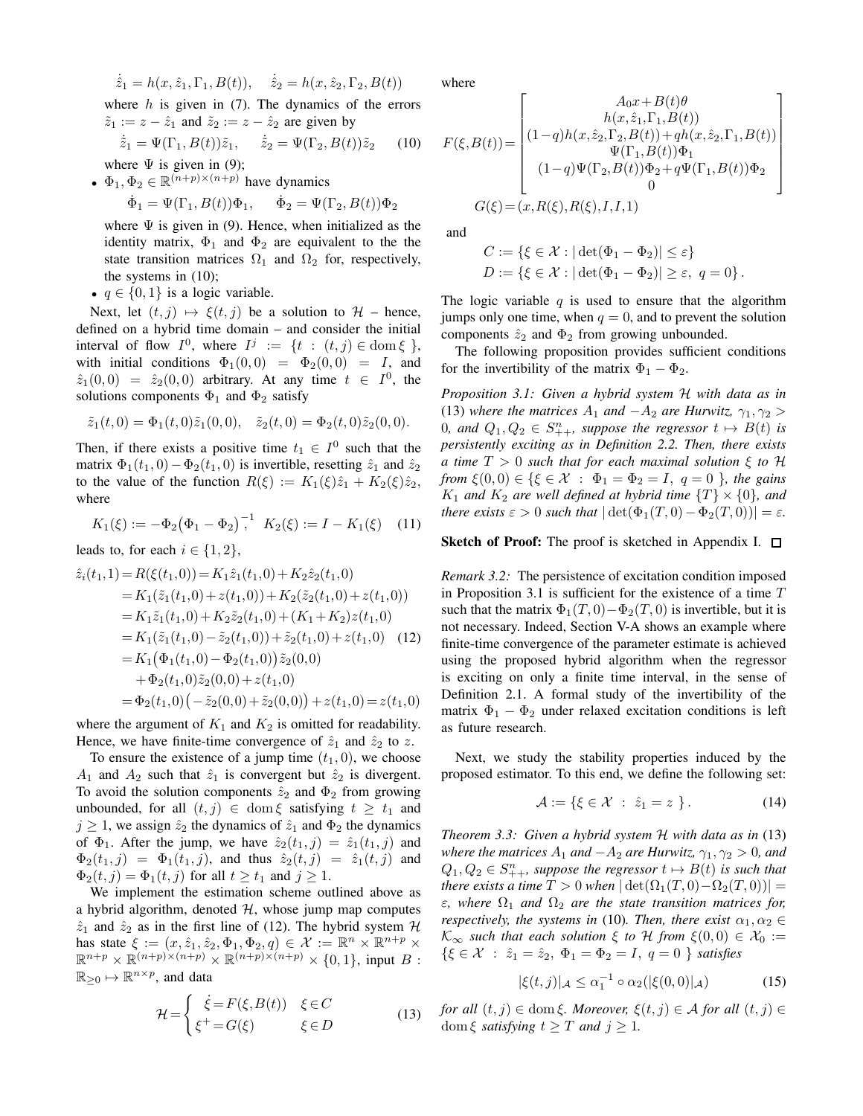$$
\dot{\hat{z}}_1 = h(x, \hat{z}_1, \Gamma_1, B(t)), \quad \dot{\hat{z}}_2 = h(x, \hat{z}_2, \Gamma_2, B(t))
$$

where  $h$  is given in (7). The dynamics of the errors  $\tilde{z}_1 := z - \hat{z}_1$  and  $\tilde{z}_2 := z - \hat{z}_2$  are given by

$$
\dot{\tilde{z}}_1 = \Psi(\Gamma_1, B(t))\tilde{z}_1, \quad \dot{\tilde{z}}_2 = \Psi(\Gamma_2, B(t))\tilde{z}_2 \quad (10)
$$

where  $\Psi$  is given in (9); •  $\Phi_1, \Phi_2 \in \mathbb{R}^{(n+p)\times (n+p)}$  have dynamics

$$
\dot{\Phi}_1 = \Psi(\Gamma_1, B(t))\Phi_1, \quad \dot{\Phi}_2 = \Psi(\Gamma_2, B(t))\Phi_2
$$

where  $\Psi$  is given in (9). Hence, when initialized as the identity matrix,  $\Phi_1$  and  $\Phi_2$  are equivalent to the the state transition matrices  $\Omega_1$  and  $\Omega_2$  for, respectively, the systems in  $(10)$ ;

•  $q \in \{0, 1\}$  is a logic variable.

Next, let  $(t, j) \mapsto \xi(t, j)$  be a solution to  $\mathcal{H}$  – hence, defined on a hybrid time domain - and consider the initial interval of flow  $I^0$ , where  $I^j := \{t : (t,j) \in \text{dom} \xi \}$ , with initial conditions  $\Phi_1(0,0) = \Phi_2(0,0) = I$ , and  $\hat{z}_1(0,0) = \hat{z}_2(0,0)$  arbitrary. At any time  $t \in I^0$ , the solutions components  $\Phi_1$  and  $\Phi_2$  satisfy

$$
\tilde{z}_1(t,0) = \Phi_1(t,0)\tilde{z}_1(0,0), \quad \tilde{z}_2(t,0) = \Phi_2(t,0)\tilde{z}_2(0,0).
$$

Then, if there exists a positive time  $t_1 \in I^0$  such that the matrix  $\Phi_1(t_1, 0) - \Phi_2(t_1, 0)$  is invertible, resetting  $\hat{z}_1$  and  $\hat{z}_2$ to the value of the function  $R(\xi) := K_1(\xi)\hat{z}_1 + K_2(\xi)\hat{z}_2$ , where

$$
K_1(\xi) := -\Phi_2(\Phi_1 - \Phi_2)^{-1}, \quad K_2(\xi) := I - K_1(\xi) \tag{11}
$$

leads to, for each  $i \in \{1, 2\}$ ,

$$
\begin{aligned}\n\hat{z}_i(t_1,1) &= R(\xi(t_1,0)) = K_1 \hat{z}_1(t_1,0) + K_2 \hat{z}_2(t_1,0) \\
&= K_1(\tilde{z}_1(t_1,0) + z(t_1,0)) + K_2(\tilde{z}_2(t_1,0) + z(t_1,0)) \\
&= K_1 \tilde{z}_1(t_1,0) + K_2 \tilde{z}_2(t_1,0) + (K_1 + K_2) z(t_1,0) \\
&= K_1(\tilde{z}_1(t_1,0) - \tilde{z}_2(t_1,0)) + \tilde{z}_2(t_1,0) + z(t_1,0) \quad (12) \\
&= K_1(\Phi_1(t_1,0) - \Phi_2(t_1,0)) \tilde{z}_2(0,0) \\
&+ \Phi_2(t_1,0) \tilde{z}_2(0,0) + z(t_1,0) \\
&= \Phi_2(t_1,0) \left( -\tilde{z}_2(0,0) + \tilde{z}_2(0,0) \right) + z(t_1,0) = z(t_1,0)\n\end{aligned}
$$

where the argument of  $K_1$  and  $K_2$  is omitted for readability. Hence, we have finite-time convergence of  $\hat{z}_1$  and  $\hat{z}_2$  to z.

To ensure the existence of a jump time  $(t_1, 0)$ , we choose  $A_1$  and  $A_2$  such that  $\hat{z}_1$  is convergent but  $\hat{z}_2$  is divergent. To avoid the solution components  $\hat{z}_2$  and  $\Phi_2$  from growing unbounded, for all  $(t, j) \in \text{dom } \xi$  satisfying  $t \geq t_1$  and  $j \geq 1$ , we assign  $\hat{z}_2$  the dynamics of  $\hat{z}_1$  and  $\Phi_2$  the dynamics of  $\Phi_1$ . After the jump, we have  $\hat{z}_2(t_1, j) = \hat{z}_1(t_1, j)$  and  $\Phi_2(t_1, j) = \Phi_1(t_1, j)$ , and thus  $\hat{z}_2(t, j) = \hat{z}_1(t, j)$  and  $\Phi_2(t,j) = \Phi_1(t,j)$  for all  $t \ge t_1$  and  $j \ge 1$ .

We implement the estimation scheme outlined above as a hybrid algorithm, denoted  $H$ , whose jump map computes  $\hat{z}_1$  and  $\hat{z}_2$  as in the first line of (12). The hybrid system H has state  $\xi := (x, \hat{z}_1, \hat{z}_2, \Phi_1, \Phi_2, q) \in \mathcal{X} := \mathbb{R}^n \times \mathbb{R}^{n+p} \times \mathbb{R}^{n+p} \times \mathbb{R}^{(n+p)\times(n+p)} \times \mathbb{R}^{(n+p)\times(n+p)} \times \{0,1\}$ , input B:  $\mathbb{R}_{\geq 0} \mapsto \mathbb{R}^{n \times p}$ , and data

$$
\mathcal{H} = \begin{cases} \dot{\xi} = F(\xi, B(t)) & \xi \in C \\ \xi^+ = G(\xi) & \xi \in D \end{cases}
$$
(13)

where

$$
F(\xi, B(t)) = \begin{bmatrix} A_0 x + B(t) \theta \\ h(x, \hat{z}_1, \Gamma_1, B(t)) \\ (1-q)h(x, \hat{z}_2, \Gamma_2, B(t)) + qh(x, \hat{z}_2, \Gamma_1, B(t)) \\ \Psi(\Gamma_1, B(t)) \Phi_1 \\ (1-q) \Psi(\Gamma_2, B(t)) \Phi_2 + q \Psi(\Gamma_1, B(t)) \Phi_2 \\ 0 \\ G(\xi) = (x, R(\xi), R(\xi), I, I, 1) \end{bmatrix}
$$

and

$$
C := \{ \xi \in \mathcal{X} : |\det(\Phi_1 - \Phi_2)| \le \varepsilon \}
$$
  

$$
D := \{ \xi \in \mathcal{X} : |\det(\Phi_1 - \Phi_2)| \ge \varepsilon, q = 0 \}.
$$

The logic variable  $q$  is used to ensure that the algorithm jumps only one time, when  $q = 0$ , and to prevent the solution components  $\hat{z}_2$  and  $\Phi_2$  from growing unbounded.

The following proposition provides sufficient conditions for the invertibility of the matrix  $\Phi_1 - \Phi_2$ .

Proposition 3.1: Given a hybrid system H with data as in (13) where the matrices  $A_1$  and  $-A_2$  are Hurwitz,  $\gamma_1, \gamma_2 >$ 0, and  $Q_1, Q_2 \in S_{++}^n$ , suppose the regressor  $t \mapsto B(t)$  is persistently exciting as in Definition 2.2. Then, there exists a time  $T > 0$  such that for each maximal solution  $\xi$  to  $\mathcal{H}$ from  $\xi(0,0) \in \{\xi \in \mathcal{X} : \Phi_1 = \Phi_2 = I, q = 0\}$ , the gains  $K_1$  and  $K_2$  are well defined at hybrid time  $\{T\} \times \{0\}$ , and there exists  $\varepsilon > 0$  such that  $|\det(\Phi_1(T, 0) - \Phi_2(T, 0))| = \varepsilon$ .

# **Sketch of Proof:** The proof is sketched in Appendix I.  $\Box$

*Remark 3.2:* The persistence of excitation condition imposed in Proposition 3.1 is sufficient for the existence of a time  $T$ such that the matrix  $\Phi_1(T,0) - \Phi_2(T,0)$  is invertible, but it is not necessary. Indeed, Section V-A shows an example where finite-time convergence of the parameter estimate is achieved using the proposed hybrid algorithm when the regressor is exciting on only a finite time interval, in the sense of Definition 2.1. A formal study of the invertibility of the matrix  $\Phi_1 - \Phi_2$  under relaxed excitation conditions is left as future research.

Next, we study the stability properties induced by the proposed estimator. To this end, we define the following set:

$$
\mathcal{A} := \{ \xi \in \mathcal{X} \; : \; \hat{z}_1 = z \; \}. \tag{14}
$$

Theorem 3.3: Given a hybrid system  $H$  with data as in (13) where the matrices  $A_1$  and  $-A_2$  are Hurwitz,  $\gamma_1, \gamma_2 > 0$ , and  $Q_1, Q_2 \in S_{++}^n$ , suppose the regressor  $t \mapsto B(t)$  is such that there exists a time  $T > 0$  when  $|\det(\Omega_1(T, 0) - \Omega_2(T, 0))|$  =  $\varepsilon$ , where  $\Omega_1$  and  $\Omega_2$  are the state transition matrices for, respectively, the systems in (10). Then, there exist  $\alpha_1, \alpha_2 \in$  $\mathcal{K}_{\infty}$  such that each solution  $\xi$  to H from  $\xi(0,0) \in \mathcal{X}_0 :=$  $\{\xi \in \mathcal{X} : \hat{z}_1 = \hat{z}_2, \Phi_1 = \Phi_2 = I, q = 0 \}$  satisfies

$$
|\xi(t,j)|_{\mathcal{A}} \le \alpha_1^{-1} \circ \alpha_2(|\xi(0,0)|_{\mathcal{A}})
$$
 (15)

for all  $(t, j) \in \text{dom } \xi$ . Moreover,  $\xi(t, j) \in A$  for all  $(t, j) \in$ dom  $\xi$  satisfying  $t \geq T$  and  $j \geq 1$ .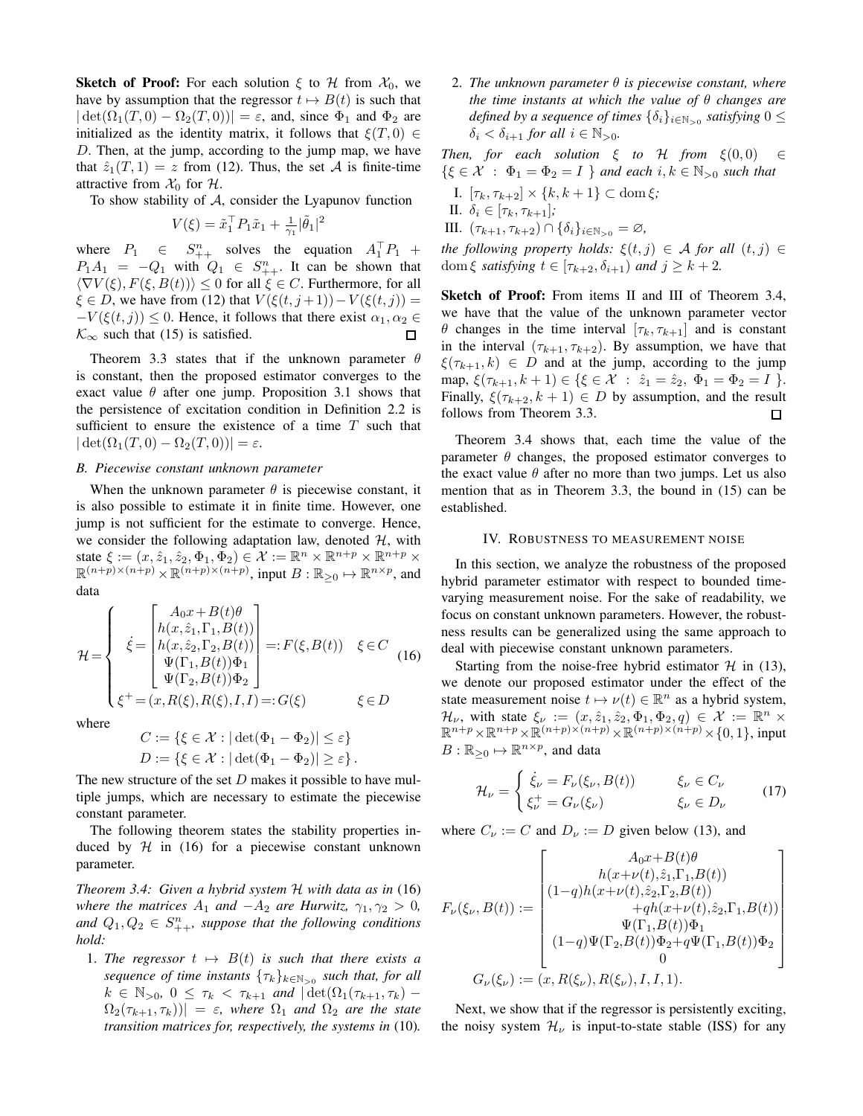**Sketch of Proof:** For each solution  $\xi$  to H from  $\mathcal{X}_0$ , we have by assumption that the regressor  $t \mapsto B(t)$  is such that  $|\det(\Omega_1(T,0) - \Omega_2(T,0))| = \varepsilon$ , and, since  $\Phi_1$  and  $\Phi_2$  are initialized as the identity matrix, it follows that  $\xi(T,0) \in$  $D$ . Then, at the jump, according to the jump map, we have that  $\hat{z}_1(T,1) = z$  from (12). Thus, the set A is finite-time attractive from  $\mathcal{X}_0$  for  $\mathcal{H}$ .

To show stability of  $A$ , consider the Lyapunov function

$$
V(\xi) = \tilde{x}_1^{\top} P_1 \tilde{x}_1 + \frac{1}{\gamma_1} |\tilde{\theta}_1|^2
$$

where  $P_1 \in S_{++}^n$  solves the equation  $A_1^{\dagger} P_1$  +  $P_1A_1 = -Q_1$  with  $Q_1 \in S_{++}^n$ . It can be shown that  $\langle \nabla V(\xi), F(\xi, B(t)) \rangle \leq 0$  for all  $\xi \in C$ . Furthermore, for all  $\xi \in D$ , we have from (12) that  $V(\xi(t, j+1)) - V(\xi(t, j)) =$  $-V(\xi(t, j)) \leq 0$ . Hence, it follows that there exist  $\alpha_1, \alpha_2 \in$  $\mathcal{K}_{\infty}$  such that (15) is satisfied.  $\Box$ 

Theorem 3.3 states that if the unknown parameter  $\theta$ is constant, then the proposed estimator converges to the exact value  $\theta$  after one jump. Proposition 3.1 shows that the persistence of excitation condition in Definition 2.2 is sufficient to ensure the existence of a time  $T$  such that  $|\det(\Omega_1(T,0) - \Omega_2(T,0))| = \varepsilon.$ 

## B. Piecewise constant unknown parameter

When the unknown parameter  $\theta$  is piecewise constant, it is also possible to estimate it in finite time. However, one jump is not sufficient for the estimate to converge. Hence, we consider the following adaptation law, denoted  $H$ , with state  $\xi := (x, \hat{z}_1, \hat{z}_2, \Phi_1, \Phi_2) \in \mathcal{X} := \mathbb{R}^n \times \mathbb{R}^{n+p} \times \mathbb{R}^{n+p} \times$  $\mathbb{R}^{(n+p)\times(n+p)}\times\mathbb{R}^{(n+p)\times(n+p)}$ , input  $B:\mathbb{R}_{\geq 0}\mapsto\mathbb{R}^{n\times p}$ , and data

$$
\mathcal{H} = \begin{cases}\n\dot{\xi} = \begin{bmatrix}\nA_0 x + B(t) \theta \\
h(x, \hat{z}_1, \Gamma_1, B(t)) \\
h(x, \hat{z}_2, \Gamma_2, B(t)) \\
\Psi(\Gamma_1, B(t)) \Phi_1 \\
\Psi(\Gamma_2, B(t)) \Phi_2\n\end{bmatrix} =: F(\xi, B(t)) \quad \xi \in C \quad (16) \\
\xi^+ = (x, R(\xi), R(\xi), I, I) =: G(\xi) \quad \xi \in D\n\end{cases}
$$

where

$$
C := \{ \xi \in \mathcal{X} : |\det(\Phi_1 - \Phi_2)| \le \varepsilon \}
$$
  

$$
D := \{ \xi \in \mathcal{X} : |\det(\Phi_1 - \Phi_2)| \ge \varepsilon \}.
$$

The new structure of the set  $D$  makes it possible to have multiple jumps, which are necessary to estimate the piecewise constant parameter.

The following theorem states the stability properties induced by  $H$  in (16) for a piecewise constant unknown parameter.

Theorem 3.4: Given a hybrid system  $H$  with data as in (16) where the matrices  $A_1$  and  $-A_2$  are Hurwitz,  $\gamma_1, \gamma_2 > 0$ , and  $Q_1, Q_2 \in S_{++}^n$ , suppose that the following conditions hold:

1. The regressor  $t \mapsto B(t)$  is such that there exists a sequence of time instants  $\{\tau_k\}_{k \in \mathbb{N}_{>0}}$  such that, for all  $k \in \mathbb{N}_{>0}, 0 \leq \tau_k < \tau_{k+1}$  and  $|\det(\Omega_1(\tau_{k+1}, \tau_k) \Omega_2(\tau_{k+1}, \tau_k))| = \varepsilon$ , where  $\Omega_1$  and  $\Omega_2$  are the state transition matrices for, respectively, the systems in (10).

2. The unknown parameter  $\theta$  is piecewise constant, where the time instants at which the value of  $\theta$  changes are defined by a sequence of times  $\{\delta_i\}_{i\in\mathbb{N}_{>0}}$  satisfying  $0 \leq$  $\delta_i < \delta_{i+1}$  for all  $i \in \mathbb{N}_{>0}$ .

Then, for each solution  $\xi$  to  $H$  from  $\xi(0,0)$  $\in$  $\{\xi \in \mathcal{X} : \Phi_1 = \Phi_2 = I \}$  and each  $i, k \in \mathbb{N}_{>0}$  such that

- I.  $[\tau_k, \tau_{k+2}] \times \{k, k+1\} \subset \text{dom } \xi;$
- II.  $\delta_i \in [\tau_k, \tau_{k+1}];$
- III.  $(\tau_{k+1}, \tau_{k+2}) \cap {\delta_i}_{i \in \mathbb{N}_{>0}} = \varnothing$ ,

the following property holds:  $\xi(t, j) \in A$  for all  $(t, j) \in A$ dom  $\xi$  satisfying  $t \in [\tau_{k+2}, \delta_{i+1})$  and  $j \geq k+2$ .

Sketch of Proof: From items II and III of Theorem 3.4, we have that the value of the unknown parameter vector  $\theta$  changes in the time interval  $[\tau_k, \tau_{k+1}]$  and is constant in the interval  $(\tau_{k+1}, \tau_{k+2})$ . By assumption, we have that  $\xi(\tau_{k+1}, k) \in D$  and at the jump, according to the jump map,  $\xi(\tau_{k+1}, k+1) \in {\{\xi \in \mathcal{X} : \hat{z}_1 = \hat{z}_2, \Phi_1 = \Phi_2 = I \}}.$ Finally,  $\xi(\tau_{k+2}, k+1) \in D$  by assumption, and the result follows from Theorem 3.3. □

Theorem 3.4 shows that, each time the value of the parameter  $\theta$  changes, the proposed estimator converges to the exact value  $\theta$  after no more than two jumps. Let us also mention that as in Theorem 3.3, the bound in  $(15)$  can be established.

### IV. ROBUSTNESS TO MEASUREMENT NOISE

In this section, we analyze the robustness of the proposed hybrid parameter estimator with respect to bounded timevarying measurement noise. For the sake of readability, we focus on constant unknown parameters. However, the robustness results can be generalized using the same approach to deal with piecewise constant unknown parameters.

Starting from the noise-free hybrid estimator  $H$  in (13), we denote our proposed estimator under the effect of the state measurement noise  $t \mapsto \nu(t) \in \mathbb{R}^n$  as a hybrid system,  $\mathcal{H}_{\nu}$ , with state  $\xi_{\nu} := (x, \hat{z}_1, \hat{z}_2, \Phi_1, \Phi_2, q) \in \mathcal{X} := \mathbb{R}^n \times$  $\mathbb{R}^{n+p} \times \mathbb{R}^{n+p} \times \mathbb{R}^{(n+p)\times (n+p)} \times \mathbb{R}^{(n+p)\times (n+p)} \times \{0,1\}$ , input  $B: \mathbb{R}_{\geq 0} \mapsto \mathbb{R}^{n \times p}$ , and data

$$
\mathcal{H}_{\nu} = \begin{cases} \dot{\xi}_{\nu} = F_{\nu}(\xi_{\nu}, B(t)) & \xi_{\nu} \in C_{\nu} \\ \xi_{\nu}^{+} = G_{\nu}(\xi_{\nu}) & \xi_{\nu} \in D_{\nu} \end{cases}
$$
(17)

where  $C_{\nu} := C$  and  $D_{\nu} := D$  given below (13), and

$$
F_{\nu}(\xi_{\nu},B(t)) := \begin{bmatrix} A_0x+B(t)\theta \\ h(x+\nu(t),\hat{z}_1,\Gamma_1,B(t)) \\ (1-q)h(x+\nu(t),\hat{z}_2,\Gamma_2,B(t)) \\ +qh(x+\nu(t),\hat{z}_2,\Gamma_1,B(t)) \\ \Psi(\Gamma_1,B(t))\Phi_1 \\ (1-q)\Psi(\Gamma_2,B(t))\Phi_2+q\Psi(\Gamma_1,B(t))\Phi_2 \\ 0 \\ G_{\nu}(\xi_{\nu}) := (x,R(\xi_{\nu}),R(\xi_{\nu}),I,I,1). \end{bmatrix}
$$

Next, we show that if the regressor is persistently exciting, the noisy system  $\mathcal{H}_{\nu}$  is input-to-state stable (ISS) for any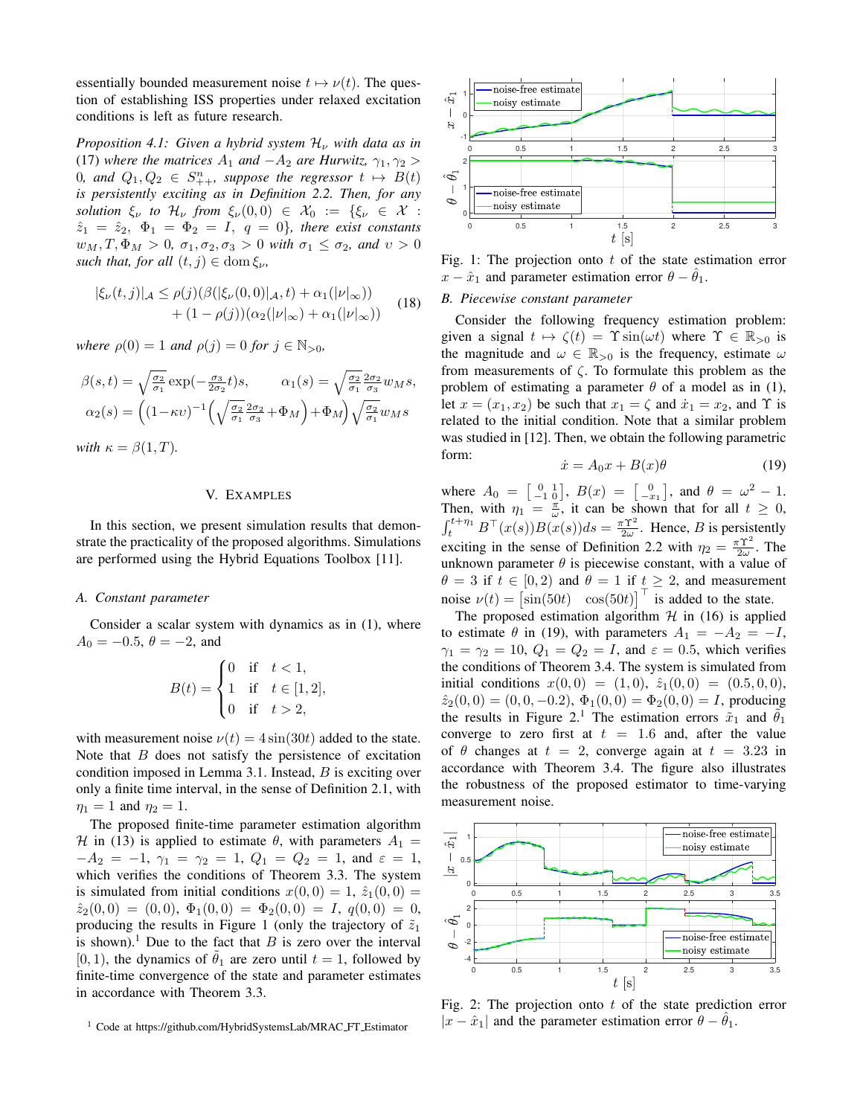essentially bounded measurement noise  $t \mapsto \nu(t)$ . The question of establishing ISS properties under relaxed excitation conditions is left as future research.

Proposition 4.1: Given a hybrid system  $\mathcal{H}_{\nu}$  with data as in (17) where the matrices  $A_1$  and  $-A_2$  are Hurwitz,  $\gamma_1, \gamma_2 >$ 0, and  $Q_1, Q_2 \in S_{++}^n$ , suppose the regressor  $t \mapsto B(t)$ is persistently exciting as in Definition 2.2. Then, for any solution  $\xi_{\nu}$  to  $\mathcal{H}_{\nu}$  from  $\xi_{\nu}(0,0) \in \mathcal{X}_0 := \{\xi_{\nu} \in \mathcal{X}$ :  $\hat{z}_1 = \hat{z}_2, \Phi_1 = \Phi_2 = I, q = 0$ , there exist constants  $w_M, T, \Phi_M > 0$ ,  $\sigma_1, \sigma_2, \sigma_3 > 0$  with  $\sigma_1 \leq \sigma_2$ , and  $v > 0$ such that, for all  $(t, j) \in \text{dom}\,\xi_{\nu}$ ,

$$
|\xi_{\nu}(t,j)|_{\mathcal{A}} \leq \rho(j)(\beta(|\xi_{\nu}(0,0)|_{\mathcal{A}},t) + \alpha_1(|\nu|_{\infty})) + (1-\rho(j))(\alpha_2(|\nu|_{\infty}) + \alpha_1(|\nu|_{\infty})) \tag{18}
$$

where  $\rho(0) = 1$  and  $\rho(j) = 0$  for  $j \in \mathbb{N}_{>0}$ ,

$$
\beta(s,t) = \sqrt{\frac{\sigma_2}{\sigma_1}} \exp(-\frac{\sigma_3}{2\sigma_2}t)s, \qquad \alpha_1(s) = \sqrt{\frac{\sigma_2}{\sigma_1}} \frac{2\sigma_2}{\sigma_3} w_M s,
$$

$$
\alpha_2(s) = \left( (1 - \kappa v)^{-1} \left( \sqrt{\frac{\sigma_2}{\sigma_1}} \frac{2\sigma_2}{\sigma_3} + \Phi_M \right) + \Phi_M \right) \sqrt{\frac{\sigma_2}{\sigma_1}} w_M s
$$

$$
\text{with } \kappa = \beta(1,T).
$$

V. EXAMPLES

In this section, we present simulation results that demonstrate the practicality of the proposed algorithms. Simulations are performed using the Hybrid Equations Toolbox [11].

## A. Constant parameter

Consider a scalar system with dynamics as in (1), where  $A_0 = -0.5, \ \theta = -2, \text{ and}$ 

$$
B(t) = \begin{cases} 0 & \text{if } t < 1, \\ 1 & \text{if } t \in [1, 2] \\ 0 & \text{if } t > 2, \end{cases}
$$

with measurement noise  $\nu(t) = 4 \sin(30t)$  added to the state. Note that  $B$  does not satisfy the persistence of excitation condition imposed in Lemma 3.1. Instead,  $B$  is exciting over only a finite time interval, in the sense of Definition 2.1, with  $\eta_1 = 1$  and  $\eta_2 = 1$ .

The proposed finite-time parameter estimation algorithm H in (13) is applied to estimate  $\theta$ , with parameters  $A_1 =$  $-A_2 = -1, \gamma_1 = \gamma_2 = 1, Q_1 = Q_2 = 1, \text{ and } \varepsilon = 1,$ which verifies the conditions of Theorem 3.3. The system is simulated from initial conditions  $x(0,0) = 1$ ,  $\hat{z}_1(0,0) =$  $\hat{z}_2(0,0) = (0,0), \ \Phi_1(0,0) = \Phi_2(0,0) = I, \ q(0,0) = 0,$ producing the results in Figure 1 (only the trajectory of  $\tilde{z}_1$ is shown).<sup>1</sup> Due to the fact that  $B$  is zero over the interval [0, 1], the dynamics of  $\tilde{\theta}_1$  are zero until  $t = 1$ , followed by finite-time convergence of the state and parameter estimates in accordance with Theorem 3.3.



Fig. 1: The projection onto  $t$  of the state estimation error  $x - \hat{x}_1$  and parameter estimation error  $\theta - \hat{\theta}_1$ .

## B. Piecewise constant parameter

Consider the following frequency estimation problem: given a signal  $t \mapsto \zeta(t) = \Upsilon \sin(\omega t)$  where  $\Upsilon \in \mathbb{R}_{>0}$  is the magnitude and  $\omega \in \mathbb{R}_{>0}$  is the frequency, estimate  $\omega$ from measurements of  $\zeta$ . To formulate this problem as the problem of estimating a parameter  $\theta$  of a model as in (1), let  $x = (x_1, x_2)$  be such that  $x_1 = \zeta$  and  $\dot{x}_1 = x_2$ , and  $\Upsilon$  is related to the initial condition. Note that a similar problem was studied in [12]. Then, we obtain the following parametric form:

$$
\dot{x} = A_0 x + B(x)\theta \tag{19}
$$

where  $A_0 = \begin{bmatrix} 0 & 1 \ -1 & 0 \end{bmatrix}$ ,  $B(x) = \begin{bmatrix} 0 \ -x_1 \end{bmatrix}$ , and  $\theta = \omega^2 - 1$ .<br>Then, with  $\eta_1 = \frac{\pi}{\omega}$ , it can be shown that for all  $t \ge 0$ ,<br> $\int_t^{t + \eta_1} B^\top(x(s))B(x(s))ds = \frac{\pi \Upsilon^2}{2\omega}$ . Hence, *B* is persistently exciting in the sense of Definition 2.2 with  $\eta_2 = \frac{\pi \Upsilon^2}{2m}$ . The unknown parameter  $\theta$  is piecewise constant, with a value of  $\theta = 3$  if  $t \in [0,2)$  and  $\theta = 1$  if  $t \ge 2$ , and measurement noise  $\nu(t) = [\sin(50t) \cos(50t)]$  is added to the state.

The proposed estimation algorithm  $H$  in (16) is applied to estimate  $\theta$  in (19), with parameters  $A_1 = -A_2 = -I$ ,  $\gamma_1 = \gamma_2 = 10$ ,  $Q_1 = Q_2 = I$ , and  $\varepsilon = 0.5$ , which verifies the conditions of Theorem 3.4. The system is simulated from initial conditions  $x(0,0) = (1,0), \ \hat{z}_1(0,0) = (0.5,0,0),$  $\hat{z}_2(0,0) = (0,0,-0.2), \Phi_1(0,0) = \Phi_2(0,0) = I$ , producing the results in Figure 2.<sup>1</sup> The estimation errors  $\tilde{x}_1$  and  $\tilde{\theta}_1$ converge to zero first at  $t = 1.6$  and, after the value of  $\theta$  changes at  $t = 2$ , converge again at  $t = 3.23$  in accordance with Theorem 3.4. The figure also illustrates the robustness of the proposed estimator to time-varying measurement noise.



Fig. 2: The projection onto  $t$  of the state prediction error  $|x - \hat{x}_1|$  and the parameter estimation error  $\theta - \theta_1$ .

<sup>&</sup>lt;sup>1</sup> Code at https://github.com/HybridSystemsLab/MRAC\_FT\_Estimator